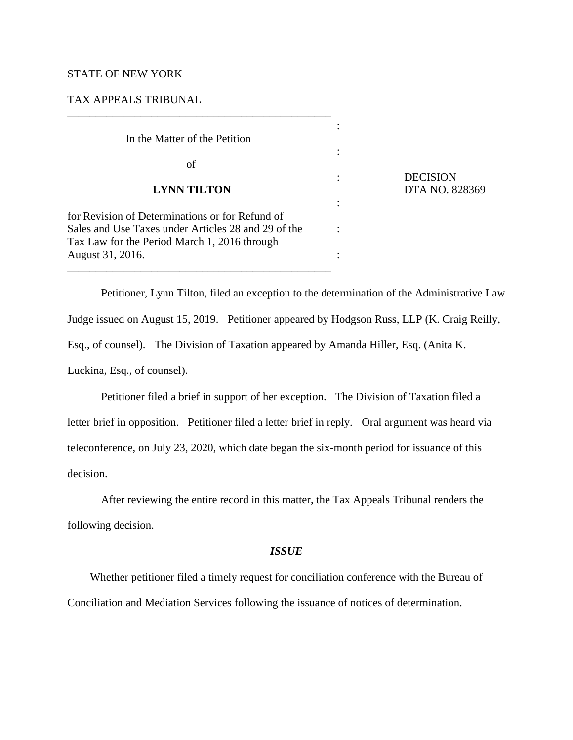# STATE OF NEW YORK

# TAX APPEALS TRIBUNAL

| In the Matter of the Petition                                                                       |  |
|-----------------------------------------------------------------------------------------------------|--|
| οf                                                                                                  |  |
| <b>LYNN TILTON</b>                                                                                  |  |
| for Revision of Determinations or for Refund of                                                     |  |
| Sales and Use Taxes under Articles 28 and 29 of the<br>Tax Law for the Period March 1, 2016 through |  |
| August 31, 2016.                                                                                    |  |

\_\_\_\_\_\_\_\_\_\_\_\_\_\_\_\_\_\_\_\_\_\_\_\_\_\_\_\_\_\_\_\_\_\_\_\_\_\_\_\_\_\_\_\_\_\_\_

: DECISION **LYNN TILTON** DTA NO. 828369

Petitioner, Lynn Tilton, filed an exception to the determination of the Administrative Law Judge issued on August 15, 2019. Petitioner appeared by Hodgson Russ, LLP (K. Craig Reilly, Esq., of counsel). The Division of Taxation appeared by Amanda Hiller, Esq. (Anita K. Luckina, Esq., of counsel).

Petitioner filed a brief in support of her exception. The Division of Taxation filed a letter brief in opposition. Petitioner filed a letter brief in reply. Oral argument was heard via teleconference, on July 23, 2020, which date began the six-month period for issuance of this decision.

After reviewing the entire record in this matter, the Tax Appeals Tribunal renders the following decision.

### *ISSUE*

Whether petitioner filed a timely request for conciliation conference with the Bureau of Conciliation and Mediation Services following the issuance of notices of determination.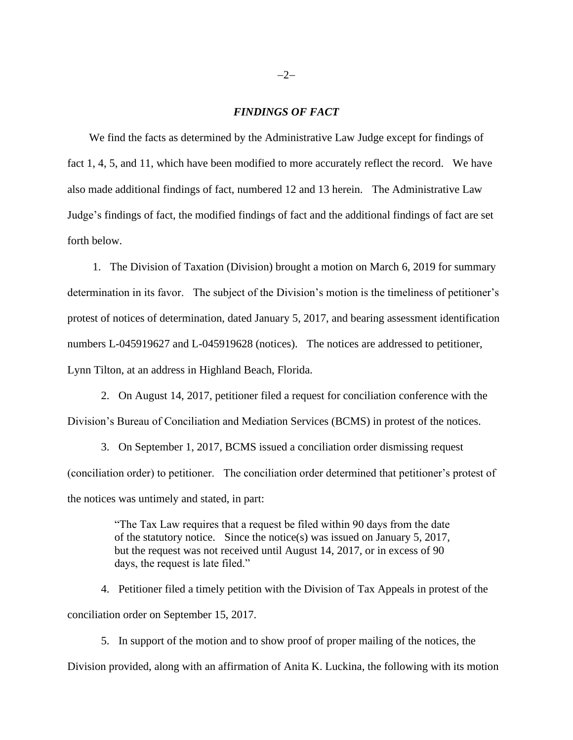### *FINDINGS OF FACT*

We find the facts as determined by the Administrative Law Judge except for findings of fact 1, 4, 5, and 11, which have been modified to more accurately reflect the record. We have also made additional findings of fact, numbered 12 and 13 herein. The Administrative Law Judge's findings of fact, the modified findings of fact and the additional findings of fact are set forth below.

1. The Division of Taxation (Division) brought a motion on March 6, 2019 for summary determination in its favor. The subject of the Division's motion is the timeliness of petitioner's protest of notices of determination, dated January 5, 2017, and bearing assessment identification numbers L-045919627 and L-045919628 (notices). The notices are addressed to petitioner, Lynn Tilton, at an address in Highland Beach, Florida.

2. On August 14, 2017, petitioner filed a request for conciliation conference with the Division's Bureau of Conciliation and Mediation Services (BCMS) in protest of the notices.

3. On September 1, 2017, BCMS issued a conciliation order dismissing request (conciliation order) to petitioner. The conciliation order determined that petitioner's protest of the notices was untimely and stated, in part:

> "The Tax Law requires that a request be filed within 90 days from the date of the statutory notice. Since the notice(s) was issued on January 5, 2017, but the request was not received until August 14, 2017, or in excess of 90 days, the request is late filed."

4. Petitioner filed a timely petition with the Division of Tax Appeals in protest of the conciliation order on September 15, 2017.

5. In support of the motion and to show proof of proper mailing of the notices, the Division provided, along with an affirmation of Anita K. Luckina, the following with its motion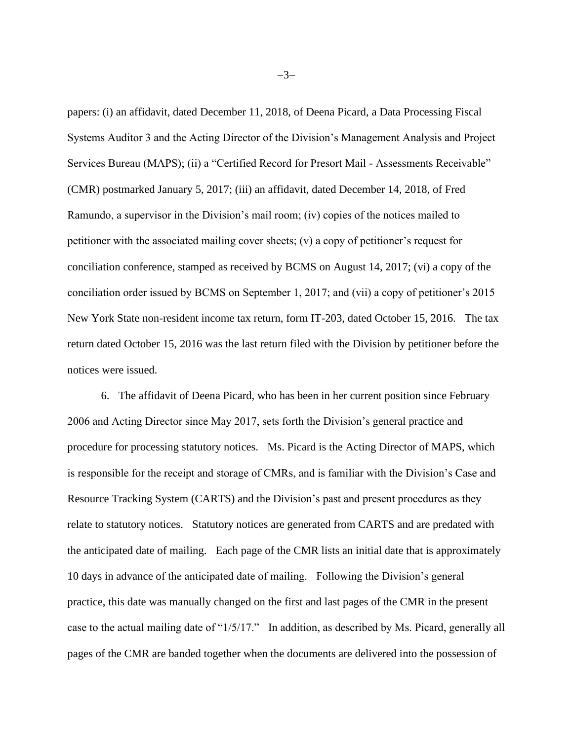papers: (i) an affidavit, dated December 11, 2018, of Deena Picard, a Data Processing Fiscal Systems Auditor 3 and the Acting Director of the Division's Management Analysis and Project Services Bureau (MAPS); (ii) a "Certified Record for Presort Mail - Assessments Receivable" (CMR) postmarked January 5, 2017; (iii) an affidavit, dated December 14, 2018, of Fred Ramundo, a supervisor in the Division's mail room; (iv) copies of the notices mailed to petitioner with the associated mailing cover sheets; (v) a copy of petitioner's request for conciliation conference, stamped as received by BCMS on August 14, 2017; (vi) a copy of the conciliation order issued by BCMS on September 1, 2017; and (vii) a copy of petitioner's 2015 New York State non-resident income tax return, form IT-203, dated October 15, 2016. The tax return dated October 15, 2016 was the last return filed with the Division by petitioner before the notices were issued.

6. The affidavit of Deena Picard, who has been in her current position since February 2006 and Acting Director since May 2017, sets forth the Division's general practice and procedure for processing statutory notices. Ms. Picard is the Acting Director of MAPS, which is responsible for the receipt and storage of CMRs, and is familiar with the Division's Case and Resource Tracking System (CARTS) and the Division's past and present procedures as they relate to statutory notices. Statutory notices are generated from CARTS and are predated with the anticipated date of mailing. Each page of the CMR lists an initial date that is approximately 10 days in advance of the anticipated date of mailing. Following the Division's general practice, this date was manually changed on the first and last pages of the CMR in the present case to the actual mailing date of "1/5/17." In addition, as described by Ms. Picard, generally all pages of the CMR are banded together when the documents are delivered into the possession of

−3−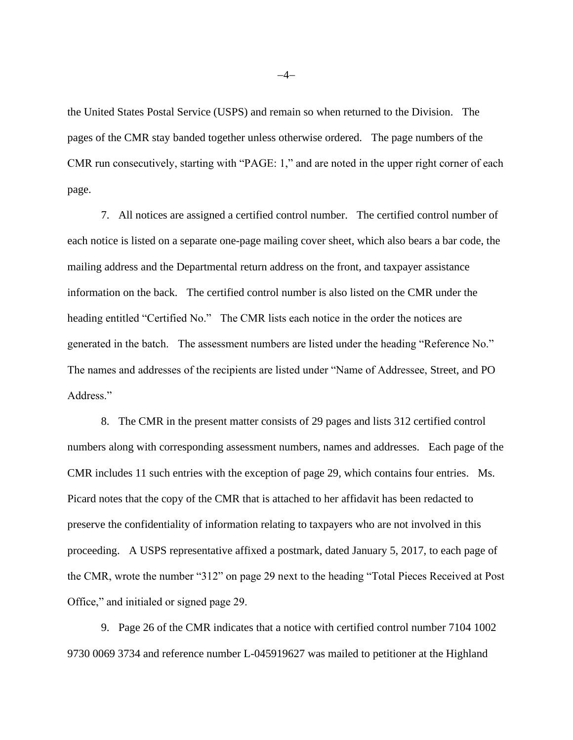the United States Postal Service (USPS) and remain so when returned to the Division. The pages of the CMR stay banded together unless otherwise ordered. The page numbers of the CMR run consecutively, starting with "PAGE: 1," and are noted in the upper right corner of each page.

7. All notices are assigned a certified control number. The certified control number of each notice is listed on a separate one-page mailing cover sheet, which also bears a bar code, the mailing address and the Departmental return address on the front, and taxpayer assistance information on the back. The certified control number is also listed on the CMR under the heading entitled "Certified No." The CMR lists each notice in the order the notices are generated in the batch. The assessment numbers are listed under the heading "Reference No." The names and addresses of the recipients are listed under "Name of Addressee, Street, and PO Address."

8. The CMR in the present matter consists of 29 pages and lists 312 certified control numbers along with corresponding assessment numbers, names and addresses. Each page of the CMR includes 11 such entries with the exception of page 29, which contains four entries. Ms. Picard notes that the copy of the CMR that is attached to her affidavit has been redacted to preserve the confidentiality of information relating to taxpayers who are not involved in this proceeding. A USPS representative affixed a postmark, dated January 5, 2017, to each page of the CMR, wrote the number "312" on page 29 next to the heading "Total Pieces Received at Post Office," and initialed or signed page 29.

9. Page 26 of the CMR indicates that a notice with certified control number 7104 1002 9730 0069 3734 and reference number L-045919627 was mailed to petitioner at the Highland

−4−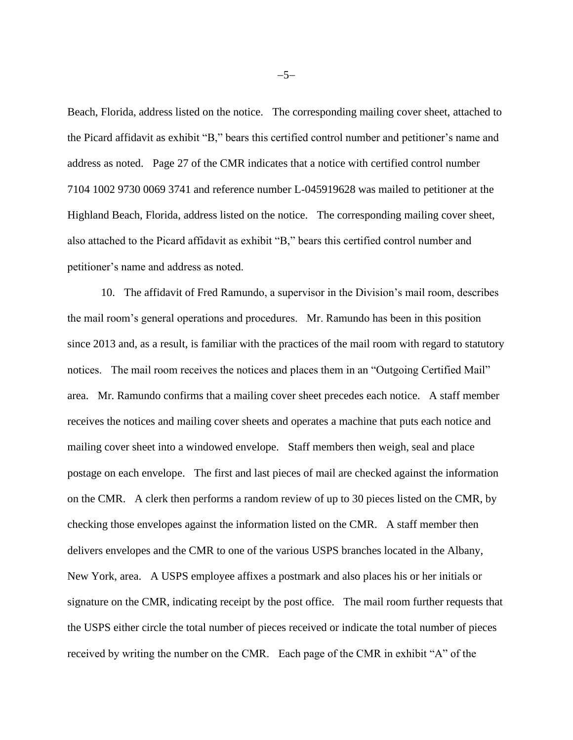Beach, Florida, address listed on the notice. The corresponding mailing cover sheet, attached to the Picard affidavit as exhibit "B," bears this certified control number and petitioner's name and address as noted. Page 27 of the CMR indicates that a notice with certified control number 7104 1002 9730 0069 3741 and reference number L-045919628 was mailed to petitioner at the Highland Beach, Florida, address listed on the notice. The corresponding mailing cover sheet, also attached to the Picard affidavit as exhibit "B," bears this certified control number and petitioner's name and address as noted.

10. The affidavit of Fred Ramundo, a supervisor in the Division's mail room, describes the mail room's general operations and procedures. Mr. Ramundo has been in this position since 2013 and, as a result, is familiar with the practices of the mail room with regard to statutory notices. The mail room receives the notices and places them in an "Outgoing Certified Mail" area. Mr. Ramundo confirms that a mailing cover sheet precedes each notice. A staff member receives the notices and mailing cover sheets and operates a machine that puts each notice and mailing cover sheet into a windowed envelope. Staff members then weigh, seal and place postage on each envelope. The first and last pieces of mail are checked against the information on the CMR. A clerk then performs a random review of up to 30 pieces listed on the CMR, by checking those envelopes against the information listed on the CMR. A staff member then delivers envelopes and the CMR to one of the various USPS branches located in the Albany, New York, area. A USPS employee affixes a postmark and also places his or her initials or signature on the CMR, indicating receipt by the post office. The mail room further requests that the USPS either circle the total number of pieces received or indicate the total number of pieces received by writing the number on the CMR. Each page of the CMR in exhibit "A" of the

−5−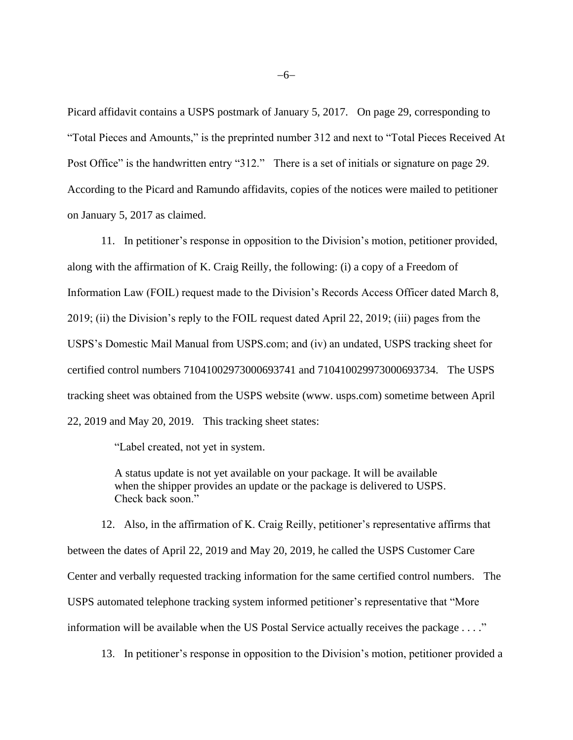Picard affidavit contains a USPS postmark of January 5, 2017. On page 29, corresponding to "Total Pieces and Amounts," is the preprinted number 312 and next to "Total Pieces Received At Post Office" is the handwritten entry "312." There is a set of initials or signature on page 29. According to the Picard and Ramundo affidavits, copies of the notices were mailed to petitioner on January 5, 2017 as claimed.

11. In petitioner's response in opposition to the Division's motion, petitioner provided, along with the affirmation of K. Craig Reilly, the following: (i) a copy of a Freedom of Information Law (FOIL) request made to the Division's Records Access Officer dated March 8, 2019; (ii) the Division's reply to the FOIL request dated April 22, 2019; (iii) pages from the USPS's Domestic Mail Manual from USPS.com; and (iv) an undated, USPS tracking sheet for certified control numbers 71041002973000693741 and 710410029973000693734. The USPS tracking sheet was obtained from the USPS website (www. usps.com) sometime between April 22, 2019 and May 20, 2019. This tracking sheet states:

"Label created, not yet in system.

A status update is not yet available on your package. It will be available when the shipper provides an update or the package is delivered to USPS. Check back soon."

12. Also, in the affirmation of K. Craig Reilly, petitioner's representative affirms that between the dates of April 22, 2019 and May 20, 2019, he called the USPS Customer Care Center and verbally requested tracking information for the same certified control numbers. The USPS automated telephone tracking system informed petitioner's representative that "More information will be available when the US Postal Service actually receives the package . . . ."

13. In petitioner's response in opposition to the Division's motion, petitioner provided a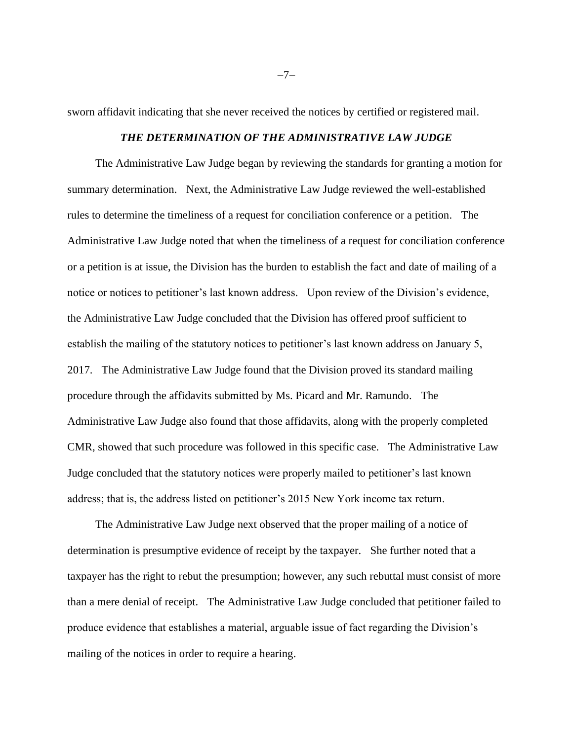sworn affidavit indicating that she never received the notices by certified or registered mail.

### *THE DETERMINATION OF THE ADMINISTRATIVE LAW JUDGE*

The Administrative Law Judge began by reviewing the standards for granting a motion for summary determination. Next, the Administrative Law Judge reviewed the well-established rules to determine the timeliness of a request for conciliation conference or a petition. The Administrative Law Judge noted that when the timeliness of a request for conciliation conference or a petition is at issue, the Division has the burden to establish the fact and date of mailing of a notice or notices to petitioner's last known address. Upon review of the Division's evidence, the Administrative Law Judge concluded that the Division has offered proof sufficient to establish the mailing of the statutory notices to petitioner's last known address on January 5, 2017. The Administrative Law Judge found that the Division proved its standard mailing procedure through the affidavits submitted by Ms. Picard and Mr. Ramundo. The Administrative Law Judge also found that those affidavits, along with the properly completed CMR, showed that such procedure was followed in this specific case. The Administrative Law Judge concluded that the statutory notices were properly mailed to petitioner's last known address; that is, the address listed on petitioner's 2015 New York income tax return.

The Administrative Law Judge next observed that the proper mailing of a notice of determination is presumptive evidence of receipt by the taxpayer. She further noted that a taxpayer has the right to rebut the presumption; however, any such rebuttal must consist of more than a mere denial of receipt. The Administrative Law Judge concluded that petitioner failed to produce evidence that establishes a material, arguable issue of fact regarding the Division's mailing of the notices in order to require a hearing.

−7−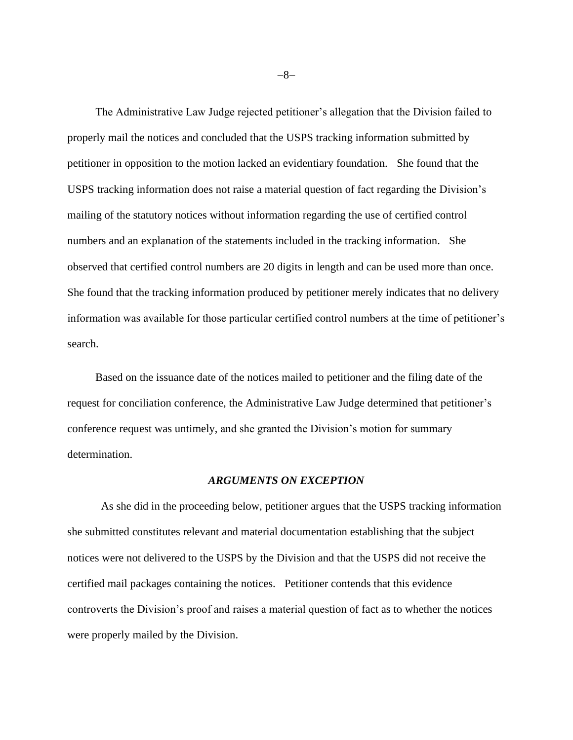The Administrative Law Judge rejected petitioner's allegation that the Division failed to properly mail the notices and concluded that the USPS tracking information submitted by petitioner in opposition to the motion lacked an evidentiary foundation. She found that the USPS tracking information does not raise a material question of fact regarding the Division's mailing of the statutory notices without information regarding the use of certified control numbers and an explanation of the statements included in the tracking information. She observed that certified control numbers are 20 digits in length and can be used more than once. She found that the tracking information produced by petitioner merely indicates that no delivery information was available for those particular certified control numbers at the time of petitioner's search.

Based on the issuance date of the notices mailed to petitioner and the filing date of the request for conciliation conference, the Administrative Law Judge determined that petitioner's conference request was untimely, and she granted the Division's motion for summary determination.

#### *ARGUMENTS ON EXCEPTION*

As she did in the proceeding below, petitioner argues that the USPS tracking information she submitted constitutes relevant and material documentation establishing that the subject notices were not delivered to the USPS by the Division and that the USPS did not receive the certified mail packages containing the notices. Petitioner contends that this evidence controverts the Division's proof and raises a material question of fact as to whether the notices were properly mailed by the Division.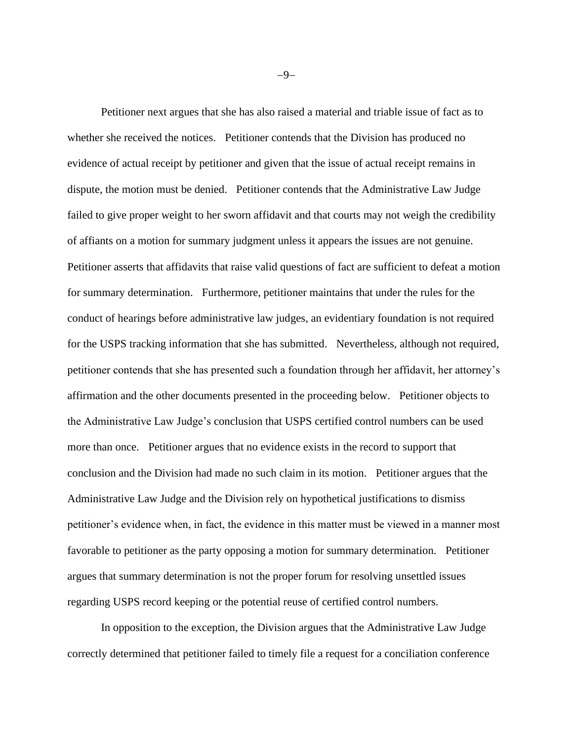Petitioner next argues that she has also raised a material and triable issue of fact as to whether she received the notices. Petitioner contends that the Division has produced no evidence of actual receipt by petitioner and given that the issue of actual receipt remains in dispute, the motion must be denied. Petitioner contends that the Administrative Law Judge failed to give proper weight to her sworn affidavit and that courts may not weigh the credibility of affiants on a motion for summary judgment unless it appears the issues are not genuine. Petitioner asserts that affidavits that raise valid questions of fact are sufficient to defeat a motion for summary determination. Furthermore, petitioner maintains that under the rules for the conduct of hearings before administrative law judges, an evidentiary foundation is not required for the USPS tracking information that she has submitted. Nevertheless, although not required, petitioner contends that she has presented such a foundation through her affidavit, her attorney's affirmation and the other documents presented in the proceeding below. Petitioner objects to the Administrative Law Judge's conclusion that USPS certified control numbers can be used more than once. Petitioner argues that no evidence exists in the record to support that conclusion and the Division had made no such claim in its motion. Petitioner argues that the Administrative Law Judge and the Division rely on hypothetical justifications to dismiss petitioner's evidence when, in fact, the evidence in this matter must be viewed in a manner most favorable to petitioner as the party opposing a motion for summary determination. Petitioner argues that summary determination is not the proper forum for resolving unsettled issues regarding USPS record keeping or the potential reuse of certified control numbers.

In opposition to the exception, the Division argues that the Administrative Law Judge correctly determined that petitioner failed to timely file a request for a conciliation conference

−9−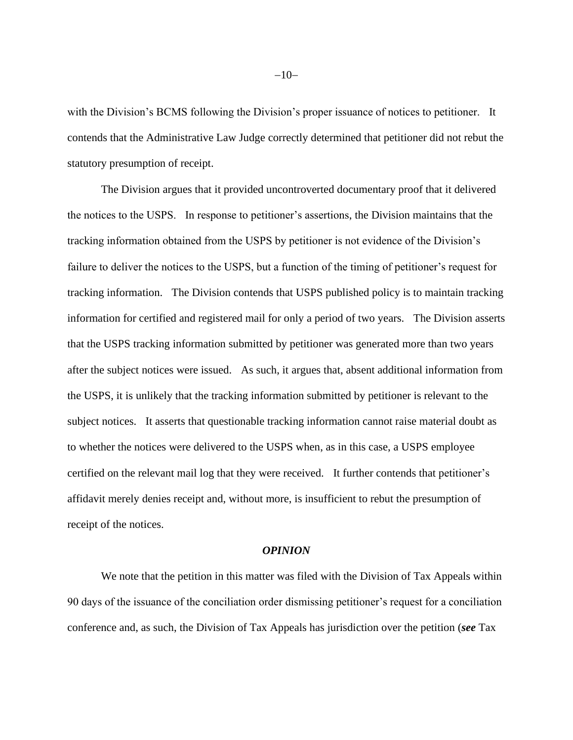with the Division's BCMS following the Division's proper issuance of notices to petitioner. It contends that the Administrative Law Judge correctly determined that petitioner did not rebut the statutory presumption of receipt.

The Division argues that it provided uncontroverted documentary proof that it delivered the notices to the USPS. In response to petitioner's assertions, the Division maintains that the tracking information obtained from the USPS by petitioner is not evidence of the Division's failure to deliver the notices to the USPS, but a function of the timing of petitioner's request for tracking information. The Division contends that USPS published policy is to maintain tracking information for certified and registered mail for only a period of two years. The Division asserts that the USPS tracking information submitted by petitioner was generated more than two years after the subject notices were issued. As such, it argues that, absent additional information from the USPS, it is unlikely that the tracking information submitted by petitioner is relevant to the subject notices. It asserts that questionable tracking information cannot raise material doubt as to whether the notices were delivered to the USPS when, as in this case, a USPS employee certified on the relevant mail log that they were received. It further contends that petitioner's affidavit merely denies receipt and, without more, is insufficient to rebut the presumption of receipt of the notices.

#### *OPINION*

We note that the petition in this matter was filed with the Division of Tax Appeals within 90 days of the issuance of the conciliation order dismissing petitioner's request for a conciliation conference and, as such, the Division of Tax Appeals has jurisdiction over the petition (*see* [Tax](http://www.westlaw.com/Link/Document/FullText?findType=L&pubNum=1000144&cite=NYTXS170&originatingDoc=Ie4dc746aee4011e8bc5b825c4b9add2e&refType=LQ&originationContext=document&vr=3.0&rs=cblt1.0&transitionType=DocumentItem&contextData=(sc.Search))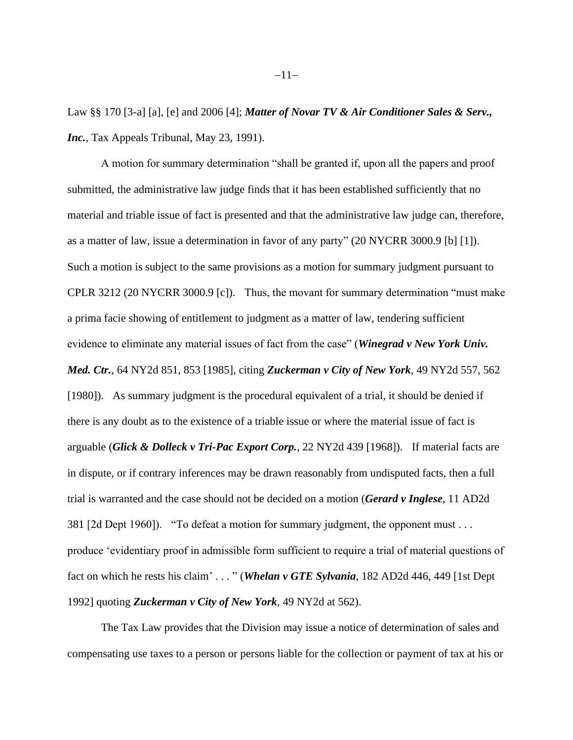[Law §§ 170](http://www.westlaw.com/Link/Document/FullText?findType=L&pubNum=1000144&cite=NYTXS170&originatingDoc=Ie4dc746aee4011e8bc5b825c4b9add2e&refType=LQ&originationContext=document&vr=3.0&rs=cblt1.0&transitionType=DocumentItem&contextData=(sc.Search)) [3-a] [a], [e] and 2006 [4]; *Matter of Novar TV & Air Conditioner Sales & Serv., Inc.*, Tax Appeals Tribunal, May 23, 1991).

A motion for summary determination "shall be granted if, upon all the papers and proof submitted, the administrative law judge finds that it has been established sufficiently that no material and triable issue of fact is presented and that the administrative law judge can, therefore, as a matter of law, issue a determination in favor of any party" [\(20 NYCRR 3000.9](http://www.westlaw.com/Link/Document/FullText?findType=L&pubNum=1013028&cite=20NYADC3000.9&originatingDoc=Ie4dc746aee4011e8bc5b825c4b9add2e&refType=LQ&originationContext=document&vr=3.0&rs=cblt1.0&transitionType=DocumentItem&contextData=(sc.Search)) [b] [1]). Such a motion is subject to the same provisions as a motion for summary judgment pursuant to [CPLR 3212](http://www.westlaw.com/Link/Document/FullText?findType=L&pubNum=1000059&cite=NYCPR3212&originatingDoc=Ie4dc746aee4011e8bc5b825c4b9add2e&refType=LQ&originationContext=document&vr=3.0&rs=cblt1.0&transitionType=DocumentItem&contextData=(sc.Search)) [\(20 NYCRR 3000.9](http://www.westlaw.com/Link/Document/FullText?findType=L&pubNum=1013028&cite=20NYADC3000.9&originatingDoc=Ie4dc746aee4011e8bc5b825c4b9add2e&refType=LQ&originationContext=document&vr=3.0&rs=cblt1.0&transitionType=DocumentItem&contextData=(sc.Search)) [c]). Thus, the movant for summary determination "must make a prima facie showing of entitlement to judgment as a matter of law, tendering sufficient evidence to eliminate any material issues of fact from the case" (*[Winegrad v New York Univ.](http://www.westlaw.com/Link/Document/FullText?findType=Y&serNum=1985108872&pubNum=0000605&originatingDoc=Ie4dc746aee4011e8bc5b825c4b9add2e&refType=RP&fi=co_pp_sp_605_853&originationContext=document&vr=3.0&rs=cblt1.0&transitionType=DocumentItem&contextData=(sc.Search)#co_pp_sp_605_853)  Med. Ctr.*[, 64 NY2d 851, 853 \[1985\]](http://www.westlaw.com/Link/Document/FullText?findType=Y&serNum=1985108872&pubNum=0000605&originatingDoc=Ie4dc746aee4011e8bc5b825c4b9add2e&refType=RP&fi=co_pp_sp_605_853&originationContext=document&vr=3.0&rs=cblt1.0&transitionType=DocumentItem&contextData=(sc.Search)#co_pp_sp_605_853), citing *[Zuckerman v City of New York](http://www.westlaw.com/Link/Document/FullText?findType=Y&serNum=1980113707&pubNum=0000605&originatingDoc=Ie4dc746aee4011e8bc5b825c4b9add2e&refType=RP&fi=co_pp_sp_605_562&originationContext=document&vr=3.0&rs=cblt1.0&transitionType=DocumentItem&contextData=(sc.Search)#co_pp_sp_605_562)*, 49 NY2d 557, 562 [\[1980\]](http://www.westlaw.com/Link/Document/FullText?findType=Y&serNum=1980113707&pubNum=0000605&originatingDoc=Ie4dc746aee4011e8bc5b825c4b9add2e&refType=RP&fi=co_pp_sp_605_562&originationContext=document&vr=3.0&rs=cblt1.0&transitionType=DocumentItem&contextData=(sc.Search)#co_pp_sp_605_562)). As summary judgment is the procedural equivalent of a trial, it should be denied if there is any doubt as to the existence of a triable issue or where the material issue of fact is arguable (*[Glick & Dolleck v Tri-Pac Export Corp.](http://www.westlaw.com/Link/Document/FullText?findType=Y&serNum=1968126764&pubNum=0000605&originatingDoc=Ie4dc746aee4011e8bc5b825c4b9add2e&refType=RP&originationContext=document&vr=3.0&rs=cblt1.0&transitionType=DocumentItem&contextData=(sc.Search))*, 22 NY2d 439 [1968]). If material facts are in dispute, or if contrary inferences may be drawn reasonably from undisputed facts, then a full trial is warranted and the case should not be decided on a motion (*[Gerard v Inglese](http://www.westlaw.com/Link/Document/FullText?findType=Y&serNum=1960119873&pubNum=0000155&originatingDoc=Ie4dc746aee4011e8bc5b825c4b9add2e&refType=RP&originationContext=document&vr=3.0&rs=cblt1.0&transitionType=DocumentItem&contextData=(sc.Search))*, 11 AD2d [381](http://www.westlaw.com/Link/Document/FullText?findType=Y&serNum=1960119873&pubNum=0000155&originatingDoc=Ie4dc746aee4011e8bc5b825c4b9add2e&refType=RP&originationContext=document&vr=3.0&rs=cblt1.0&transitionType=DocumentItem&contextData=(sc.Search)) [2d Dept 1960]). "To defeat a motion for summary judgment, the opponent must . . . produce 'evidentiary proof in admissible form sufficient to require a trial of material questions of fact on which he rests his claim' . . . " (*[Whelan v GTE Sylvania](http://www.westlaw.com/Link/Document/FullText?findType=Y&serNum=1992073577&pubNum=0000155&originatingDoc=Ie4dc746aee4011e8bc5b825c4b9add2e&refType=RP&fi=co_pp_sp_155_449&originationContext=document&vr=3.0&rs=cblt1.0&transitionType=DocumentItem&contextData=(sc.Search)#co_pp_sp_155_449)*, 182 AD2d 446, 449 [1st Dept 1992] quoting *[Zuckerman v City of New York](http://www.westlaw.com/Link/Document/FullText?findType=Y&serNum=1980113707&pubNum=0000605&originatingDoc=Ie4dc746aee4011e8bc5b825c4b9add2e&refType=RP&fi=co_pp_sp_605_562&originationContext=document&vr=3.0&rs=cblt1.0&transitionType=DocumentItem&contextData=(sc.Search)#co_pp_sp_605_562)*, 49 NY2d at 562).

The Tax Law provides that the Division may issue a notice of determination of sales and compensating use taxes to a person or persons liable for the collection or payment of tax at his or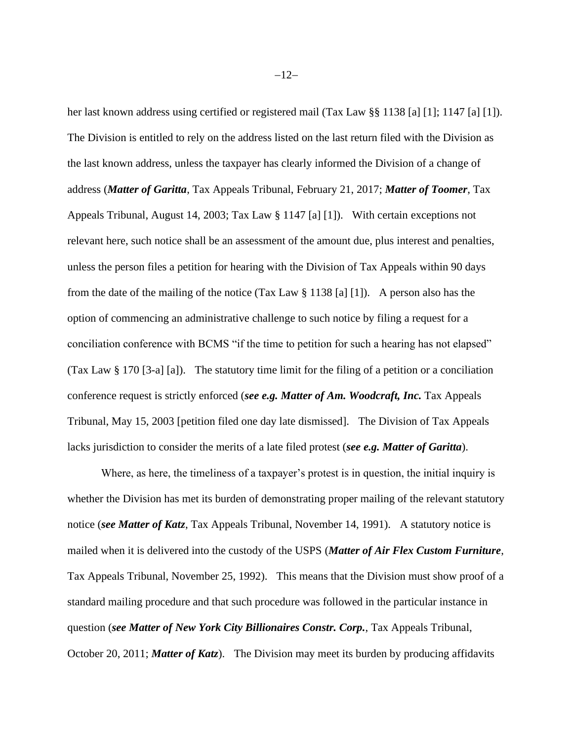her last known address using certified or registered mail [\(Tax Law §§ 1138 \[a\] \[1\]; 1147](http://www.westlaw.com/Link/Document/FullText?findType=L&pubNum=1000144&cite=NYTXS1147&originatingDoc=Ie4dc746aee4011e8bc5b825c4b9add2e&refType=LQ&originationContext=document&vr=3.0&rs=cblt1.0&transitionType=DocumentItem&contextData=(sc.Search)) [a] [1]). The Division is entitled to rely on the address listed on the last return filed with the Division as the last known address, unless the taxpayer has clearly informed the Division of a change of address (*Matter of Garitta*, Tax Appeals Tribunal, February 21, 2017; *Matter of Toomer*, Tax Appeals Tribunal, August 14, 2003; [Tax Law § 1147](http://www.westlaw.com/Link/Document/FullText?findType=L&pubNum=1000144&cite=NYTXS1147&originatingDoc=Ie4dc746aee4011e8bc5b825c4b9add2e&refType=LQ&originationContext=document&vr=3.0&rs=cblt1.0&transitionType=DocumentItem&contextData=(sc.Search)) [a] [1]). With certain exceptions not relevant here, such notice shall be an assessment of the amount due, plus interest and penalties, unless the person files a petition for hearing with the Division of Tax Appeals within 90 days from the date of the mailing of the notice [\(Tax Law § 1138](http://www.westlaw.com/Link/Document/FullText?findType=L&pubNum=1000144&cite=NYTXS1138&originatingDoc=Ie4dc746aee4011e8bc5b825c4b9add2e&refType=LQ&originationContext=document&vr=3.0&rs=cblt1.0&transitionType=DocumentItem&contextData=(sc.Search)) [a] [1]). A person also has the option of commencing an administrative challenge to such notice by filing a request for a conciliation conference with BCMS "if the time to petition for such a hearing has not elapsed" [\(Tax Law § 170](http://www.westlaw.com/Link/Document/FullText?findType=L&pubNum=1000144&cite=NYTXS170&originatingDoc=Ie4dc746aee4011e8bc5b825c4b9add2e&refType=LQ&originationContext=document&vr=3.0&rs=cblt1.0&transitionType=DocumentItem&contextData=(sc.Search)) [3-a] [a]). The statutory time limit for the filing of a petition or a conciliation conference request is strictly enforced (*see e.g. Matter of Am. Woodcraft, Inc.* Tax Appeals Tribunal, May 15, 2003 [petition filed one day late dismissed]. The Division of Tax Appeals lacks jurisdiction to consider the merits of a late filed protest (*see e.g. Matter of Garitta*).

Where, as here, the timeliness of a taxpayer's protest is in question, the initial inquiry is whether the Division has met its burden of demonstrating proper mailing of the relevant statutory notice (*see Matter of Katz*, Tax Appeals Tribunal, November 14, 1991). A statutory notice is mailed when it is delivered into the custody of the USPS (*Matter of Air Flex Custom Furniture*, Tax Appeals Tribunal, November 25, 1992). This means that the Division must show proof of a standard mailing procedure and that such procedure was followed in the particular instance in question (*see Matter of New York City Billionaires Constr. Corp.*, Tax Appeals Tribunal, October 20, 2011; *Matter of Katz*). The Division may meet its burden by producing affidavits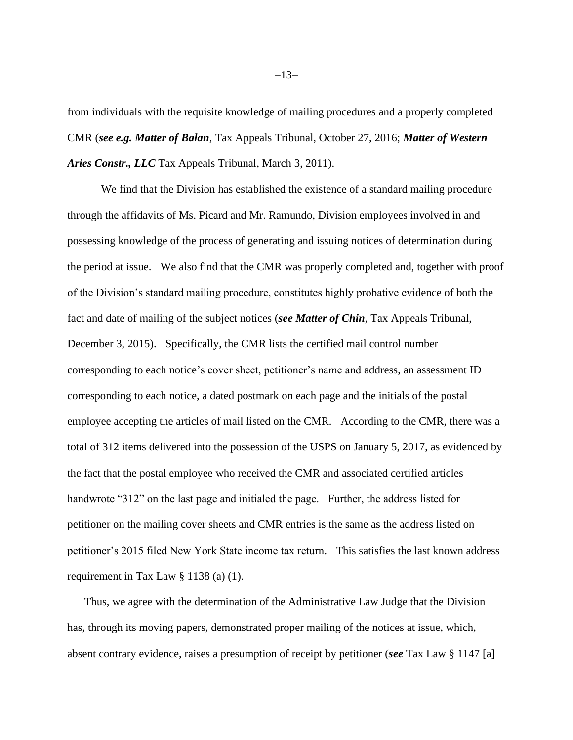from individuals with the requisite knowledge of mailing procedures and a properly completed CMR (*see e.g. Matter of Balan*, Tax Appeals Tribunal, October 27, 2016; *Matter of Western Aries Constr., LLC* Tax Appeals Tribunal, March 3, 2011).

We find that the Division has established the existence of a standard mailing procedure through the affidavits of Ms. Picard and Mr. Ramundo, Division employees involved in and possessing knowledge of the process of generating and issuing notices of determination during the period at issue. We also find that the CMR was properly completed and, together with proof of the Division's standard mailing procedure, constitutes highly probative evidence of both the fact and date of mailing of the subject notices (*see Matter of Chin*, Tax Appeals Tribunal, December 3, 2015). Specifically, the CMR lists the certified mail control number corresponding to each notice's cover sheet, petitioner's name and address, an assessment ID corresponding to each notice, a dated postmark on each page and the initials of the postal employee accepting the articles of mail listed on the CMR. According to the CMR, there was a total of 312 items delivered into the possession of the USPS on January 5, 2017, as evidenced by the fact that the postal employee who received the CMR and associated certified articles handwrote "312" on the last page and initialed the page. Further, the address listed for petitioner on the mailing cover sheets and CMR entries is the same as the address listed on petitioner's 2015 filed New York State income tax return. This satisfies the last known address requirement in [Tax Law § 1138](http://www.westlaw.com/Link/Document/FullText?findType=L&pubNum=1000144&cite=NYTXS1138&originatingDoc=Ie4dc746aee4011e8bc5b825c4b9add2e&refType=LQ&originationContext=document&vr=3.0&rs=cblt1.0&transitionType=DocumentItem&contextData=(sc.Search)) (a) (1).

Thus, we agree with the determination of the Administrative Law Judge that the Division has, through its moving papers, demonstrated proper mailing of the notices at issue, which, absent contrary evidence, raises a presumption of receipt by petitioner (*see* [Tax Law § 1147](http://www.westlaw.com/Link/Document/FullText?findType=L&pubNum=1000144&cite=NYTXS1147&originatingDoc=Ie4dc746aee4011e8bc5b825c4b9add2e&refType=LQ&originationContext=document&vr=3.0&rs=cblt1.0&transitionType=DocumentItem&contextData=(sc.Search)) [a]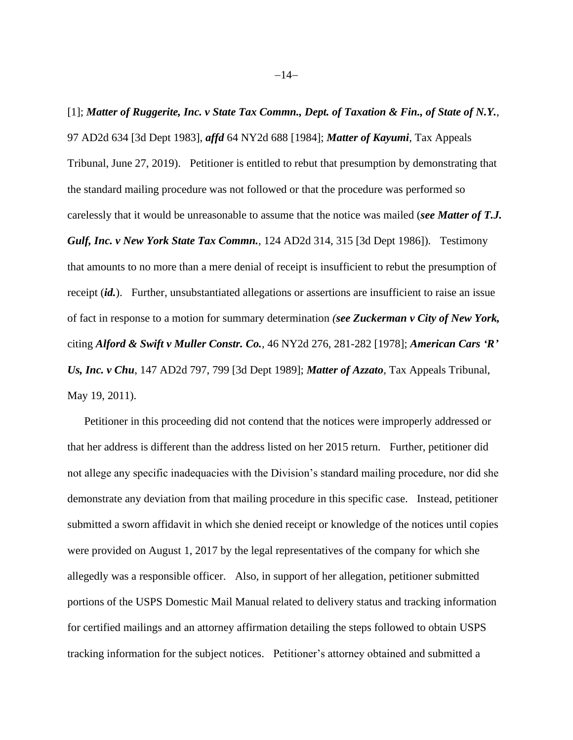[1]; *Matter of Ruggerite, Inc. v State Tax Commn., Dept. of Taxation & Fin., of State of N.Y.*, 97 AD2d 634 [3d Dept 1983], *affd* 64 NY2d 688 [1984]; *Matter of Kayumi*, Tax Appeals Tribunal, June 27, 2019). Petitioner is entitled to rebut that presumption by demonstrating that the standard mailing procedure was not followed or that the procedure was performed so carelessly that it would be unreasonable to assume that the notice was mailed (*see Matter of T.J. Gulf, Inc. v New York State Tax Commn.*, 124 AD2d 314, 315 [3d Dept 1986]). Testimony that amounts to no more than a mere denial of receipt is insufficient to rebut the presumption of receipt *(id.)*. Further, unsubstantiated allegations or assertions are insufficient to raise an issue of fact in response to a motion for summary determination *(see Zuckerman v City of New York,*  citing *Alford & Swift v Muller Constr. Co.*, 46 NY2d 276, 281-282 [1978]; *American Cars 'R' Us, Inc. v Chu*, 147 AD2d 797, 799 [3d Dept 1989]; *Matter of Azzato*, Tax Appeals Tribunal, May 19, 2011).

Petitioner in this proceeding did not contend that the notices were improperly addressed or that her address is different than the address listed on her 2015 return. Further, petitioner did not allege any specific inadequacies with the Division's standard mailing procedure, nor did she demonstrate any deviation from that mailing procedure in this specific case. Instead, petitioner submitted a sworn affidavit in which she denied receipt or knowledge of the notices until copies were provided on August 1, 2017 by the legal representatives of the company for which she allegedly was a responsible officer. Also, in support of her allegation, petitioner submitted portions of the USPS Domestic Mail Manual related to delivery status and tracking information for certified mailings and an attorney affirmation detailing the steps followed to obtain USPS tracking information for the subject notices. Petitioner's attorney obtained and submitted a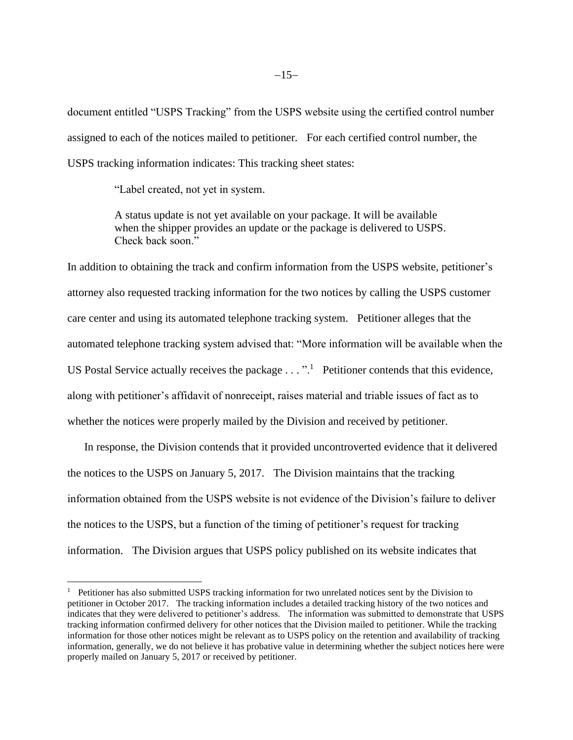document entitled "USPS Tracking" from the USPS website using the certified control number assigned to each of the notices mailed to petitioner. For each certified control number, the USPS tracking information indicates: This tracking sheet states:

"Label created, not yet in system.

A status update is not yet available on your package. It will be available when the shipper provides an update or the package is delivered to USPS. Check back soon."

In addition to obtaining the track and confirm information from the USPS website, petitioner's attorney also requested tracking information for the two notices by calling the USPS customer care center and using its automated telephone tracking system. Petitioner alleges that the automated telephone tracking system advised that: "More information will be available when the US Postal Service actually receives the package  $\dots$ ".<sup>1</sup> Petitioner contends that this evidence, along with petitioner's affidavit of nonreceipt, raises material and triable issues of fact as to whether the notices were properly mailed by the Division and received by petitioner.

In response, the Division contends that it provided uncontroverted evidence that it delivered the notices to the USPS on January 5, 2017. The Division maintains that the tracking information obtained from the USPS website is not evidence of the Division's failure to deliver the notices to the USPS, but a function of the timing of petitioner's request for tracking information. The Division argues that USPS policy published on its website indicates that

<sup>1</sup> Petitioner has also submitted USPS tracking information for two unrelated notices sent by the Division to petitioner in October 2017. The tracking information includes a detailed tracking history of the two notices and indicates that they were delivered to petitioner's address. The information was submitted to demonstrate that USPS tracking information confirmed delivery for other notices that the Division mailed to petitioner. While the tracking information for those other notices might be relevant as to USPS policy on the retention and availability of tracking information, generally, we do not believe it has probative value in determining whether the subject notices here were properly mailed on January 5, 2017 or received by petitioner.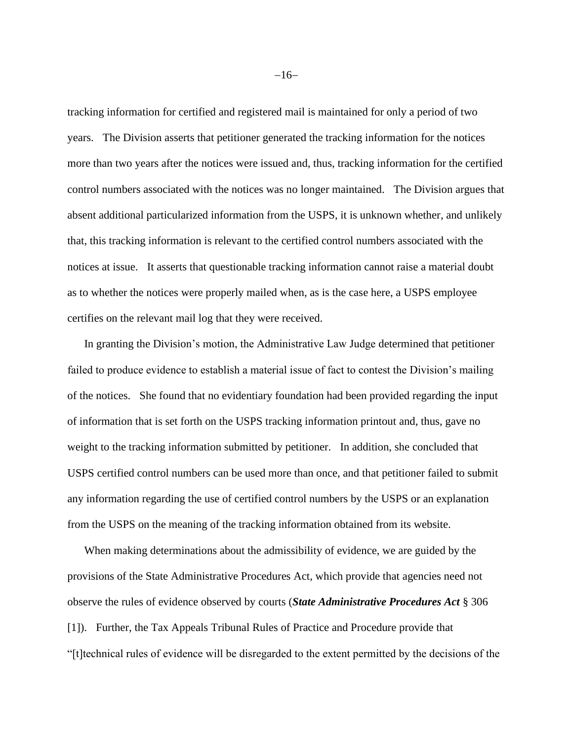tracking information for certified and registered mail is maintained for only a period of two years. The Division asserts that petitioner generated the tracking information for the notices more than two years after the notices were issued and, thus, tracking information for the certified control numbers associated with the notices was no longer maintained. The Division argues that absent additional particularized information from the USPS, it is unknown whether, and unlikely that, this tracking information is relevant to the certified control numbers associated with the notices at issue. It asserts that questionable tracking information cannot raise a material doubt as to whether the notices were properly mailed when, as is the case here, a USPS employee certifies on the relevant mail log that they were received.

In granting the Division's motion, the Administrative Law Judge determined that petitioner failed to produce evidence to establish a material issue of fact to contest the Division's mailing of the notices. She found that no evidentiary foundation had been provided regarding the input of information that is set forth on the USPS tracking information printout and, thus, gave no weight to the tracking information submitted by petitioner. In addition, she concluded that USPS certified control numbers can be used more than once, and that petitioner failed to submit any information regarding the use of certified control numbers by the USPS or an explanation from the USPS on the meaning of the tracking information obtained from its website.

When making determinations about the admissibility of evidence, we are guided by the provisions of the State Administrative Procedures Act, which provide that agencies need not observe the rules of evidence observed by courts (*State Administrative Procedures Act* § 306 [1]). Further, the Tax Appeals Tribunal Rules of Practice and Procedure provide that "[t]technical rules of evidence will be disregarded to the extent permitted by the decisions of the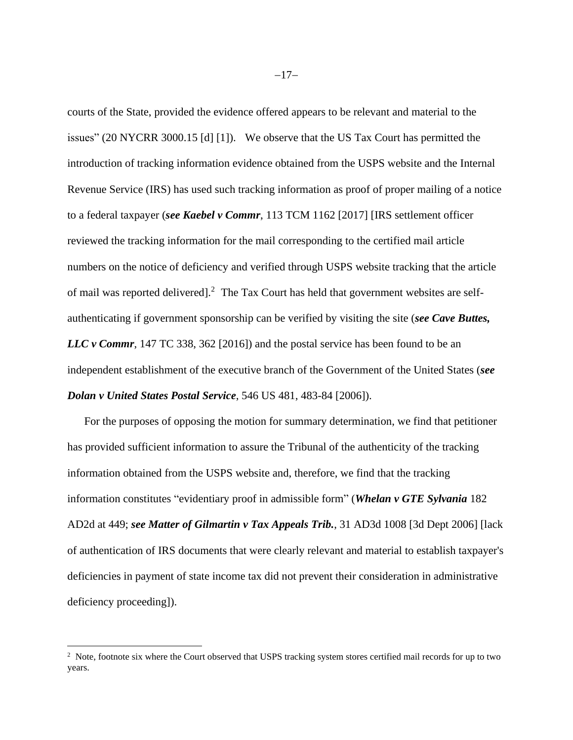courts of the State, provided the evidence offered appears to be relevant and material to the issues" (20 NYCRR 3000.15 [d] [1]). We observe that the US Tax Court has permitted the introduction of tracking information evidence obtained from the USPS website and the Internal Revenue Service (IRS) has used such tracking information as proof of proper mailing of a notice to a federal taxpayer (*see Kaebel v Commr*, 113 TCM 1162 [2017] [IRS settlement officer reviewed the tracking information for the mail corresponding to the certified mail article numbers on the notice of deficiency and verified through USPS website tracking that the article of mail was reported delivered].<sup>2</sup> The Tax Court has held that government websites are selfauthenticating if government sponsorship can be verified by visiting the site (*see Cave Buttes, LLC v Commr*, 147 TC 338, 362 [2016]) and the postal service has been found to be an independent establishment of the executive branch of the Government of the United States (*see Dolan v United States Postal Service*, 546 US 481, 483-84 [2006]).

For the purposes of opposing the motion for summary determination, we find that petitioner has provided sufficient information to assure the Tribunal of the authenticity of the tracking information obtained from the USPS website and, therefore, we find that the tracking information constitutes "evidentiary proof in admissible form" (*[Whelan v GTE Sylvania](http://www.westlaw.com/Link/Document/FullText?findType=Y&serNum=1992073577&pubNum=0000155&originatingDoc=Ie4dc746aee4011e8bc5b825c4b9add2e&refType=RP&fi=co_pp_sp_155_449&originationContext=document&vr=3.0&rs=cblt1.0&transitionType=DocumentItem&contextData=(sc.Search)#co_pp_sp_155_449)* 182 AD2d [at 449;](http://www.westlaw.com/Link/Document/FullText?findType=Y&serNum=1992073577&pubNum=0000155&originatingDoc=Ie4dc746aee4011e8bc5b825c4b9add2e&refType=RP&fi=co_pp_sp_155_449&originationContext=document&vr=3.0&rs=cblt1.0&transitionType=DocumentItem&contextData=(sc.Search)#co_pp_sp_155_449) *see Matter of Gilmartin v Tax Appeals Trib.*, [31 AD3d 1008 \[3d](https://1.next.westlaw.com/Link/Document/FullText?findType=Y&serNum=2009592181&pubNum=0000602&originatingDoc=NAA38D1F0883E11D8A8ACD145B11214D7&refType=RP&originationContext=notesOfDecisions&contextData=%28sc.Category%29&transitionType=NotesOfDecisionItem) Dept 2006] [lack of authentication of IRS documents that were clearly relevant and material to establish taxpayer's deficiencies in payment of state income tax did not prevent their consideration in administrative deficiency proceeding]).

<sup>&</sup>lt;sup>2</sup> Note, footnote six where the Court observed that USPS tracking system stores certified mail records for up to two years.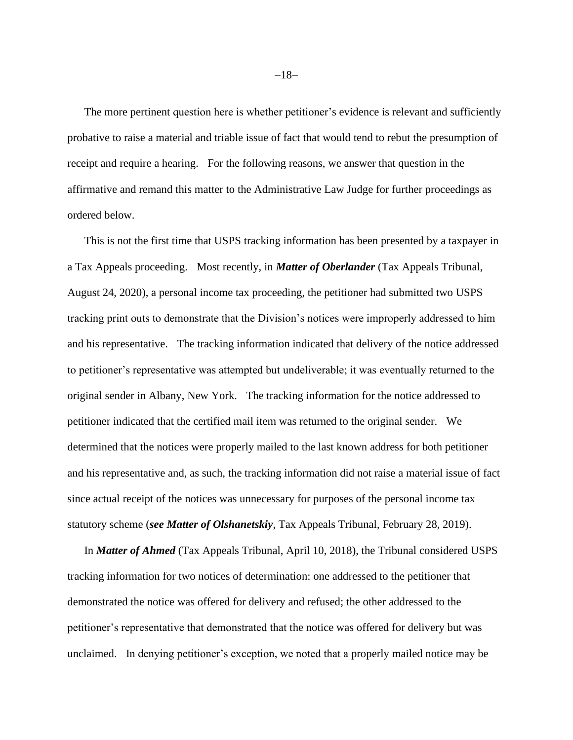The more pertinent question here is whether petitioner's evidence is relevant and sufficiently probative to raise a material and triable issue of fact that would tend to rebut the presumption of receipt and require a hearing. For the following reasons, we answer that question in the affirmative and remand this matter to the Administrative Law Judge for further proceedings as ordered below.

This is not the first time that USPS tracking information has been presented by a taxpayer in a Tax Appeals proceeding. Most recently, in *Matter of Oberlander* (Tax Appeals Tribunal, August 24, 2020), a personal income tax proceeding, the petitioner had submitted two USPS tracking print outs to demonstrate that the Division's notices were improperly addressed to him and his representative. The tracking information indicated that delivery of the notice addressed to petitioner's representative was attempted but undeliverable; it was eventually returned to the original sender in Albany, New York. The tracking information for the notice addressed to petitioner indicated that the certified mail item was returned to the original sender. We determined that the notices were properly mailed to the last known address for both petitioner and his representative and, as such, the tracking information did not raise a material issue of fact since actual receipt of the notices was unnecessary for purposes of the personal income tax statutory scheme (*see Matter of Olshanetskiy*, Tax Appeals Tribunal, February 28, 2019).

In *Matter of Ahmed* (Tax Appeals Tribunal, April 10, 2018), the Tribunal considered USPS tracking information for two notices of determination: one addressed to the petitioner that demonstrated the notice was offered for delivery and refused; the other addressed to the petitioner's representative that demonstrated that the notice was offered for delivery but was unclaimed. In denying petitioner's exception, we noted that a properly mailed notice may be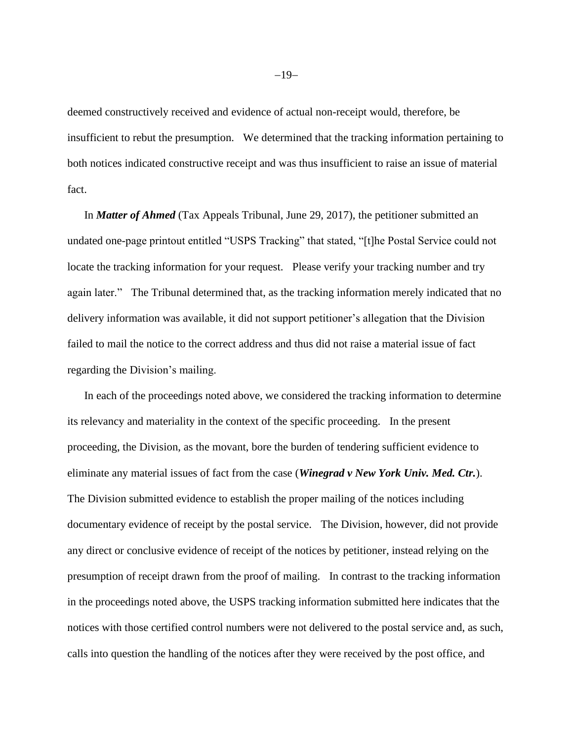deemed constructively received and evidence of actual non-receipt would, therefore, be insufficient to rebut the presumption. We determined that the tracking information pertaining to both notices indicated constructive receipt and was thus insufficient to raise an issue of material fact.

In *Matter of Ahmed* (Tax Appeals Tribunal, June 29, 2017), the petitioner submitted an undated one-page printout entitled "USPS Tracking" that stated, "[t]he Postal Service could not locate the tracking information for your request. Please verify your tracking number and try again later." The Tribunal determined that, as the tracking information merely indicated that no delivery information was available, it did not support petitioner's allegation that the Division failed to mail the notice to the correct address and thus did not raise a material issue of fact regarding the Division's mailing.

In each of the proceedings noted above, we considered the tracking information to determine its relevancy and materiality in the context of the specific proceeding. In the present proceeding, the Division, as the movant, bore the burden of tendering sufficient evidence to eliminate any material issues of fact from the case (*Winegrad v New York Univ. Med. Ctr.*). The Division submitted evidence to establish the proper mailing of the notices including documentary evidence of receipt by the postal service. The Division, however, did not provide any direct or conclusive evidence of receipt of the notices by petitioner, instead relying on the presumption of receipt drawn from the proof of mailing. In contrast to the tracking information in the proceedings noted above, the USPS tracking information submitted here indicates that the notices with those certified control numbers were not delivered to the postal service and, as such, calls into question the handling of the notices after they were received by the post office, and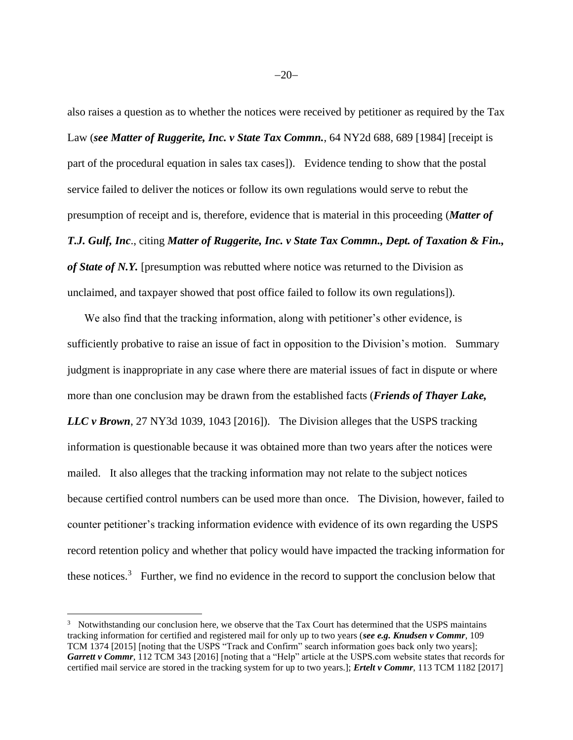also raises a question as to whether the notices were received by petitioner as required by the Tax Law (*see Matter of Ruggerite, Inc. v State Tax Commn.*, 64 NY2d 688, 689 [1984] [receipt is part of the procedural equation in sales tax cases]). Evidence tending to show that the postal service failed to deliver the notices or follow its own regulations would serve to rebut the presumption of receipt and is, therefore, evidence that is material in this proceeding (*Matter of T.J. Gulf, Inc*., citing *Matter of Ruggerite, Inc. v State Tax Commn., Dept. of Taxation & Fin., of State of N.Y.* [presumption was rebutted where notice was returned to the Division as unclaimed, and taxpayer showed that post office failed to follow its own regulations]).

We also find that the tracking information, along with petitioner's other evidence, is sufficiently probative to raise an issue of fact in opposition to the Division's motion. Summary judgment is inappropriate in any case where there are material issues of fact in dispute or where more than one conclusion may be drawn from the established facts (*Friends of Thayer Lake, LLC v Brown*, 27 NY3d 1039, 1043 [2016]). The Division alleges that the USPS tracking information is questionable because it was obtained more than two years after the notices were mailed. It also alleges that the tracking information may not relate to the subject notices because certified control numbers can be used more than once. The Division, however, failed to counter petitioner's tracking information evidence with evidence of its own regarding the USPS record retention policy and whether that policy would have impacted the tracking information for these notices.<sup>3</sup> Further, we find no evidence in the record to support the conclusion below that

<sup>&</sup>lt;sup>3</sup> Notwithstanding our conclusion here, we observe that the Tax Court has determined that the USPS maintains tracking information for certified and registered mail for only up to two years (*see e.g. Knudsen v Commr*, 109 TCM 1374 [2015] [noting that the USPS "Track and Confirm" search information goes back only two years]; *Garrett v Commr*, 112 TCM 343 [2016] [noting that a "Help" article at the USPS.com website states that records for certified mail service are stored in the tracking system for up to two years.]; *Ertelt v Commr*, 113 TCM 1182 [2017]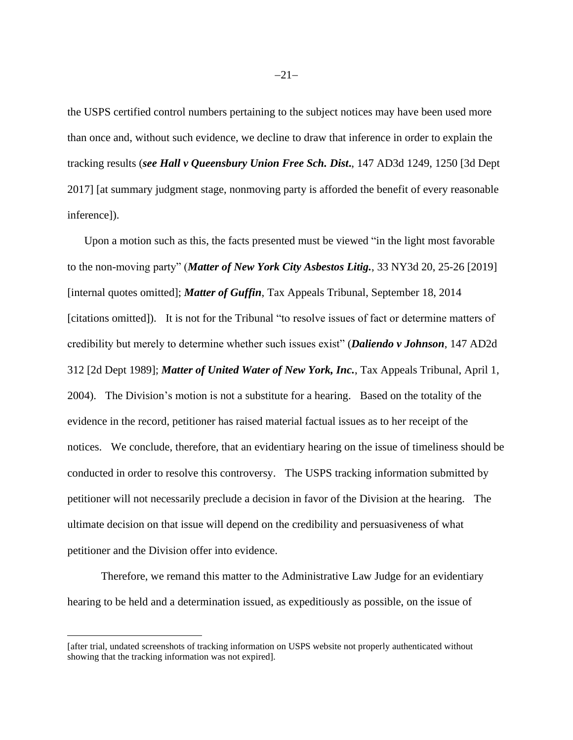the USPS certified control numbers pertaining to the subject notices may have been used more than once and, without such evidence, we decline to draw that inference in order to explain the tracking results (*see Hall v Queensbury Union Free Sch. Dist***.**, 147 AD3d 1249, 1250 [3d Dept 2017] [at summary judgment stage, nonmoving party is afforded the benefit of every reasonable inference]).

Upon a motion such as this, the facts presented must be viewed "in the light most favorable to the non-moving party" (*Matter of New York City Asbestos Litig.*, 33 NY3d 20, 25-26 [2019] [internal quotes omitted]; *Matter of Guffin*, Tax Appeals Tribunal, September 18, 2014 [citations omitted]). It is not for the Tribunal "to resolve issues of fact or determine matters of credibility but merely to determine whether such issues exist" (*Daliendo v Johnson*, 147 AD2d 312 [2d Dept 1989]; *Matter of United Water of New York, Inc.*, Tax Appeals Tribunal, April 1, 2004). The Division's motion is not a substitute for a hearing. Based on the totality of the evidence in the record, petitioner has raised material factual issues as to her receipt of the notices. We conclude, therefore, that an evidentiary hearing on the issue of timeliness should be conducted in order to resolve this controversy. The USPS tracking information submitted by petitioner will not necessarily preclude a decision in favor of the Division at the hearing. The ultimate decision on that issue will depend on the credibility and persuasiveness of what petitioner and the Division offer into evidence.

Therefore, we remand this matter to the Administrative Law Judge for an evidentiary hearing to be held and a determination issued, as expeditiously as possible, on the issue of

<sup>[</sup>after trial, undated screenshots of tracking information on USPS website not properly authenticated without showing that the tracking information was not expired].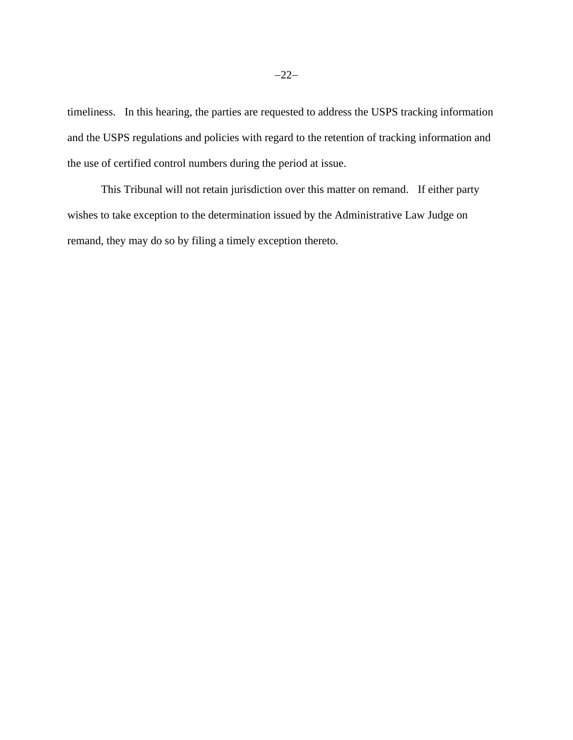timeliness. In this hearing, the parties are requested to address the USPS tracking information and the USPS regulations and policies with regard to the retention of tracking information and the use of certified control numbers during the period at issue.

This Tribunal will not retain jurisdiction over this matter on remand. If either party wishes to take exception to the determination issued by the Administrative Law Judge on remand, they may do so by filing a timely exception thereto.